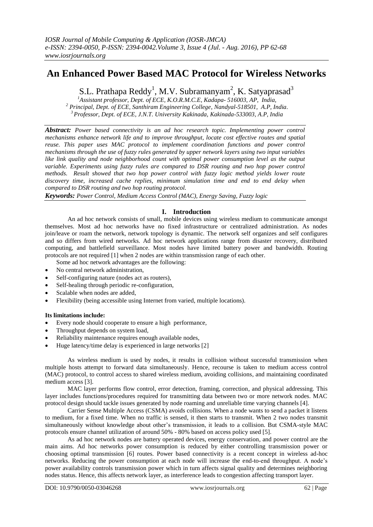# **An Enhanced Power Based MAC Protocol for Wireless Networks**

S.L. Prathapa Reddy<sup>1</sup>, M.V. Subramanyam<sup>2</sup>, K. Satyaprasad<sup>3</sup>

*<sup>1</sup>Assistant professor, Dept. of ECE, K.O.R.M.C.E, Kadapa- 516003, AP, India, <sup>2</sup> Principal, Dept. of ECE, Santhiram Engineering College, Nandyal-518501, A.P, India. <sup>3</sup>Professor, Dept. of ECE, J.N.T. University Kakinada, Kakinada-533003, A.P, India*

*Abstract: Power based connectivity is an ad hoc research topic. Implementing power control mechanisms enhance network life and to improve throughput, locate cost effective routes and spatial reuse. This paper uses MAC protocol to implement coordination functions and power control mechanisms through the use of fuzzy rules generated by upper network layers using two input variables like link quality and node neighborhood count with optimal power consumption level as the output variable. Experiments using fuzzy rules are compared to DSR routing and two hop power control methods. Result showed that two hop power control with fuzzy logic method yields lower route discovery time, increased cache replies, minimum simulation time and end to end delay when compared to DSR routing and two hop routing protocol.*

*Keywords: Power Control, Medium Access Control (MAC), Energy Saving, Fuzzy logic*

# **I. Introduction**

An ad hoc network consists of small, mobile devices using wireless medium to communicate amongst themselves. Most ad hoc networks have no fixed infrastructure or centralized administration. As nodes join/leave or roam the network, network topology is dynamic. The network self organizes and self configures and so differs from wired networks. Ad hoc network applications range from disaster recovery, distributed computing, and battlefield surveillance. Most nodes have limited battery power and bandwidth. Routing protocols are not required [1] when 2 nodes are within transmission range of each other.

Some ad hoc network advantages are the following:

- No central network administration,
- Self-configuring nature (nodes act as routers),
- Self-healing through periodic re-configuration,
- Scalable when nodes are added,
- Flexibility (being accessible using Internet from varied, multiple locations).

### **Its limitations include:**

- Every node should cooperate to ensure a high performance,
- Throughput depends on system load,
- Reliability maintenance requires enough available nodes,
- Huge latency/time delay is experienced in large networks [2]

As wireless medium is used by nodes, it results in collision without successful transmission when multiple hosts attempt to forward data simultaneously. Hence, recourse is taken to medium access control (MAC) protocol, to control access to shared wireless medium, avoiding collisions, and maintaining coordinated medium access [3].

MAC layer performs flow control, error detection, framing, correction, and physical addressing. This layer includes functions/procedures required for transmitting data between two or more network nodes. MAC protocol design should tackle issues generated by node roaming and unreliable time varying channels [4].

Carrier Sense Multiple Access (CSMA) avoids collisions. When a node wants to send a packet it listens to medium, for a fixed time. When no traffic is sensed, it then starts to transmit. When 2 two nodes transmit simultaneously without knowledge about other's transmission, it leads to a collision. But CSMA-style MAC protocols ensure channel utilization of around 50% - 80% based on access policy used [5].

As ad hoc network nodes are battery operated devices, energy conservation, and power control are the main aims. Ad hoc networks power consumption is reduced by either controlling transmission power or choosing optimal transmission [6] routes. Power based connectivity is a recent concept in wireless ad-hoc networks. Reducing the power consumption at each node will increase the end-to-end throughput. A node's power availability controls transmission power which in turn affects signal quality and determines neighboring nodes status. Hence, this affects network layer, as interference leads to congestion affecting transport layer.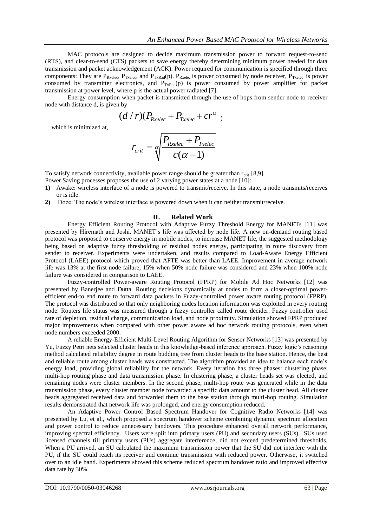MAC protocols are designed to decide maximum transmission power to forward request-to-send (RTS), and clear-to-send (CTS) packets to save energy thereby determining minimum power needed for data transmission and packet acknowledgement (ACK). Power required for communication is specified through three components: They are  $P_{\text{Rxelec}}$ ,  $P_{\text{Txelec}}$ , and  $P_{\text{TxRad}}(p)$ .  $P_{\text{Rxelec}}$  is power consumed by node receiver,  $P_{\text{Txelec}}$  is power consumed by transmitter electronics, and  $P_{TxRad}(p)$  is power consumed by power amplifier for packet transmission at power level, where p is the actual power radiated [7].

Energy consumption when packet is transmitted through the use of hops from sender node to receiver node with distance d, is given by

in distance d, is given by  

$$
(d/r)(P_{\text{Rxelec}} + P_{\text{Txelec}} + cr^{\alpha})
$$

which is minimized at,

$$
r_{\text{crit}} = \sqrt{\frac{P_{\text{Rxelec}} + P_{\text{Txelec}}}{c(\alpha - 1)}}
$$

To satisfy network connectivity, available power range should be greater than  $r_{\text{crit}}$  [8,9].

Power Saving processes proposes the use of 2 varying power states at a node [10]:

- **1)** Awake: wireless interface of a node is powered to transmit/receive. In this state, a node transmits/receives or is idle.
- **2)** Doze: The node's wireless interface is powered down when it can neither transmit/receive.

#### **II. Related Work**

Energy Efficient Routing Protocol with Adaptive Fuzzy Threshold Energy for MANETs [11] was presented by Hiremath and Joshi. MANET's life was affected by node life. A new on-demand routing based protocol was proposed to conserve energy in mobile nodes, to increase MANET life, the suggested methodology being based on adaptive fuzzy thresholding of residual nodes energy, participating in route discovery from sender to receiver. Experiments were undertaken, and results compared to Load-Aware Energy Efficient Protocol (LAEE) protocol which proved that AFTE was better than LAEE. Improvement in average network life was 13% at the first node failure, 15% when 50% node failure was considered and 23% when 100% node failure was considered in comparison to LAEE.

Fuzzy-controlled Power-aware Routing Protocol (FPRP) for Mobile Ad Hoc Networks [12] was presented by Banerjee and Dutta. Routing decisions dynamically at nodes to form a closer-optimal powerefficient end-to end route to forward data packets in Fuzzy-controlled power aware routing protocol (FPRP). The protocol was distributed so that only neighboring nodes location information was exploited in every routing node. Routers life status was measured through a fuzzy controller called route decider. Fuzzy controller used rate of depletion, residual charge, communication load, and node proximity. Simulation showed FPRP produced major improvements when compared with other power aware ad hoc network routing protocols, even when node numbers exceeded 2000.

A reliable Energy-Efficient Multi-Level Routing Algorithm for Sensor Networks [13] was presented by Yu, Fuzzy Petri nets selected cluster heads in this knowledge-based inference approach. Fuzzy logic's reasoning method calculated reliability degree in route budding tree from cluster heads to the base station. Hence, the best and reliable route among cluster heads was constructed. The algorithm provided an idea to balance each node's energy load, providing global reliability for the network. Every iteration has three phases: clustering phase, multi-hop routing phase and data transmission phase. In clustering phase, a cluster heads set was elected, and remaining nodes were cluster members. In the second phase, multi-hop route was generated while in the data transmission phase, every cluster member node forwarded a specific data amount to the cluster head. All cluster heads aggregated received data and forwarded them to the base station through multi-hop routing. Simulation results demonstrated that network life was prolonged, and energy consumption reduced.

An Adaptive Power Control Based Spectrum Handover for Cognitive Radio Networks [14] was presented by Lu, et al., which proposed a spectrum handover scheme combining dynamic spectrum allocation and power control to reduce unnecessary handovers. This procedure enhanced overall network performance, improving spectral efficiency. Users were split into primary users (PU) and secondary users (SUs). SUs used licensed channels till primary users (PUs) aggregate interference, did not exceed predetermined thresholds. When a PU arrived, an SU calculated the maximum transmission power that the SU did not interfere with the PU, if the SU could reach its receiver and continue transmission with reduced power. Otherwise, it switched over to an idle band. Experiments showed this scheme reduced spectrum handover ratio and improved effective data rate by 30%.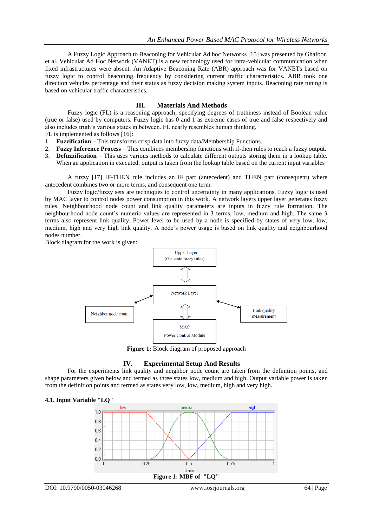A Fuzzy Logic Approach to Beaconing for Vehicular Ad hoc Networks [15] was presented by Ghafoor, et al. Vehicular Ad Hoc Network (VANET) is a new technology used for intra-vehicular communication when fixed infrastructures were absent. An Adaptive Beaconing Rate (ABR) approach was for VANETs based on fuzzy logic to control beaconing frequency by considering current traffic characteristics. ABR took one direction vehicles percentage and their status as fuzzy decision making system inputs. Beaconing rate tuning is based on vehicular traffic characteristics.

# **III. Materials And Methods**

Fuzzy logic (FL) is a reasoning approach, specifying degrees of truthiness instead of Boolean value (true or false) used by computers. Fuzzy logic has 0 and 1 as extreme cases of true and false respectively and also includes truth's various states in between. FL nearly resembles human thinking.

FL is implemented as follows [16]:

- 1. **Fuzzification** This transforms crisp data into fuzzy data/Membership Functions.
- 2. **Fuzzy Inference Process** This combines membership functions with if-then rules to reach a fuzzy output.
- 3. **Defuzzification** This uses various methods to calculate different outputs storing them in a lookup table. When an application in executed, output is taken from the lookup table based on the current input variables

A fuzzy [17] IF-THEN rule includes an IF part (antecedent) and THEN part (consequent) where antecedent combines two or more terms, and consequent one term.

Fuzzy logic/fuzzy sets are techniques to control uncertainty in many applications. Fuzzy logic is used by MAC layer to control nodes power consumption in this work. A network layers upper layer generates fuzzy rules. Neighbourhood node count and link quality parameters are inputs in fuzzy rule formation. The neighbourhood node count's numeric values are represented in 3 terms, low, medium and high. The same 3 terms also represent link quality. Power level to be used by a node is specified by states of very low, low, medium, high and very high link quality. A node's power usage is based on link quality and neighbourhood nodes number.

Block diagram for the work is given:



**Figure 1:** Block diagram of proposed approach

### **IV. Experimental Setup And Results**

For the experiments link quality and neighbor node count are taken from the definition points, and shape parameters given below and termed as three states low, medium and high. Output variable power is taken from the definition points and termed as states very low, low, medium, high and very high.



## **4.1. Input Variable "LQ"**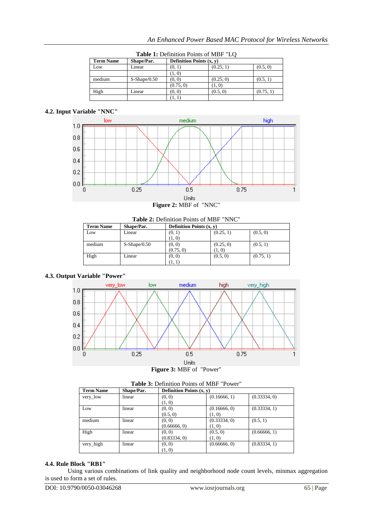| <b>Table 1.</b> Definition Follits of $MDI$ LO |                |                                              |           |           |  |
|------------------------------------------------|----------------|----------------------------------------------|-----------|-----------|--|
| <b>Term Name</b>                               | Shape/Par.     | <b>Definition Points <math>(x, y)</math></b> |           |           |  |
| Low                                            | Linear         | (0, 1)                                       | (0.25, 1) | (0.5, 0)  |  |
|                                                |                | (1, 0)                                       |           |           |  |
| medium                                         | $S-Shape/0.50$ | (0, 0)                                       | (0.25, 0) | (0.5, 1)  |  |
|                                                |                | (0.75, 0)                                    | (1, 0)    |           |  |
| High                                           | Linear         | (0, 0)                                       | (0.5, 0)  | (0.75, 1) |  |
|                                                |                |                                              |           |           |  |

**Table 1:** Definition Points of MBF "LQ

# **4.2. Input Variable "NNC"**





| <b>Table 2:</b> Definition Points of MIBF $\Box$ NNC |                |           |                                              |           |  |
|------------------------------------------------------|----------------|-----------|----------------------------------------------|-----------|--|
| <b>Term Name</b>                                     | Shape/Par.     |           | <b>Definition Points <math>(x, y)</math></b> |           |  |
| Low                                                  | Linear         | (0, 1)    | (0.25, 1)                                    | (0.5, 0)  |  |
|                                                      |                | (1, 0)    |                                              |           |  |
| medium                                               | $S-Shape/0.50$ | (0, 0)    | (0.25, 0)                                    | (0.5, 1)  |  |
|                                                      |                | (0.75, 0) | (1, 0)                                       |           |  |
| High                                                 | Linear         | (0, 0)    | (0.5, 0)                                     | (0.75, 1) |  |
|                                                      |                | (1, 1)    |                                              |           |  |

# **2:** Definition Points of MBF "NNC"

## **4.3. Output Variable "Power"**



**Figure 3:** MBF of "Power"

| <b>Table 3.</b> Definition Founts of MIDI FOWER |            |                            |              |              |
|-------------------------------------------------|------------|----------------------------|--------------|--------------|
| <b>Term Name</b>                                | Shape/Par. | Definition Points $(x, y)$ |              |              |
| very_low                                        | linear     | (0, 0)                     | (0.16666, 1) | (0.33334, 0) |
|                                                 |            | (1, 0)                     |              |              |
| Low                                             | linear     | (0, 0)                     | (0.16666, 0) | (0.33334, 1) |
|                                                 |            | (0.5, 0)                   | (1, 0)       |              |
| medium                                          | linear     | (0, 0)                     | (0.33334, 0) | (0.5, 1)     |
|                                                 |            | (0.66666, 0)               | (1, 0)       |              |
| High                                            | linear     | (0, 0)                     | (0.5, 0)     | (0.66666, 1) |
|                                                 |            | (0.83334, 0)               | (1, 0)       |              |
| very_high                                       | linear     | (0, 0)                     | (0.66666, 0) | (0.83334, 1) |
|                                                 |            | (1, 0)                     |              |              |

# **Table 3:** Definition Points of MBF "Power"

# **4.4. Rule Block "RB1"**

Using various combinations of link quality and neighborhood node count levels, minmax aggregation is used to form a set of rules.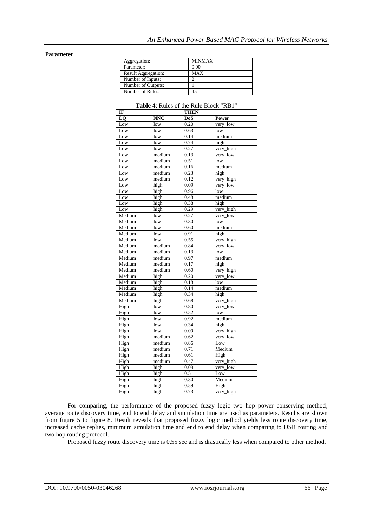#### **Parameter**

| Aggregation:        | <b>MINMAX</b> |
|---------------------|---------------|
| Parameter:          | 0.00          |
| Result Aggregation: | MAX           |
| Number of Inputs:   |               |
| Number of Outputs:  |               |
| Number of Rules:    |               |

| IF                |                         | THEN |           |  |
|-------------------|-------------------------|------|-----------|--|
| LQ                | <b>NNC</b>              | DoS  | Power     |  |
| Low               | low                     | 0.20 | very_low  |  |
| Low               | low                     | 0.63 | low       |  |
| Low               | low                     | 0.14 | medium    |  |
| Low               | low                     | 0.74 | high      |  |
| Low               | low                     | 0.27 | very_high |  |
| Low               | medium                  | 0.13 | very_low  |  |
| Low               | medium                  | 0.51 | low       |  |
| Low               | medium                  | 0.16 | medium    |  |
| Low               | medium                  | 0.23 | high      |  |
| $\overline{L}$ ow | medium                  | 0.12 | very_high |  |
| Low               | high                    | 0.09 | very_low  |  |
| Low               | high                    | 0.96 | low       |  |
| $_{\rm Low}$      | high                    | 0.48 | medium    |  |
| Low               | high                    | 0.38 | high      |  |
| Low               | high                    | 0.29 | very_high |  |
| Medium            | low                     | 0.27 | very_low  |  |
| Medium            | low                     | 0.30 | low       |  |
| Medium            | low                     | 0.60 | medium    |  |
| Medium            | low                     | 0.91 | high      |  |
| Medium            | low                     | 0.55 | very_high |  |
| Medium            | medium                  | 0.84 | very_low  |  |
| Medium            | medium                  | 0.13 | low       |  |
| Medium            | medium                  | 0.97 | medium    |  |
| Medium            | medium                  | 0.17 | high      |  |
| Medium            | medium                  | 0.60 | very_high |  |
| Medium            | high                    | 0.20 | very_low  |  |
| Medium            | high                    | 0.18 | low       |  |
| Medium            | high                    | 0.14 | medium    |  |
| Medium            | high                    | 0.34 | high      |  |
| Medium            | high                    | 0.68 | very_high |  |
| High              | low                     | 0.80 | very_low  |  |
| High              | low                     | 0.52 | low       |  |
| High              | $\overline{\text{low}}$ | 0.92 | medium    |  |
| High              | low                     | 0.34 | high      |  |
| High              | low                     | 0.09 | very_high |  |
| High              | medium                  | 0.62 | very_low  |  |
| High              | medium                  | 0.86 | Low       |  |
| High              | medium                  | 0.71 | Medium    |  |
| High              | medium                  | 0.61 | High      |  |
| High              | medium                  | 0.47 | very_high |  |
| High              | high                    | 0.09 | very_low  |  |
| High              | high                    | 0.51 | Low       |  |
| High              | high                    | 0.30 | Medium    |  |
| High              | high                    | 0.59 | High      |  |
| High              | high                    | 0.73 | very_high |  |

#### **Table 4**: Rules of the Rule Block "RB1"

For comparing, the performance of the proposed fuzzy logic two hop power conserving method, average route discovery time, end to end delay and simulation time are used as parameters. Results are shown from figure 5 to figure 8. Result reveals that proposed fuzzy logic method yields less route discovery time, increased cache replies, minimum simulation time and end to end delay when comparing to DSR routing and two hop routing protocol.

Proposed fuzzy route discovery time is 0.55 sec and is drastically less when compared to other method.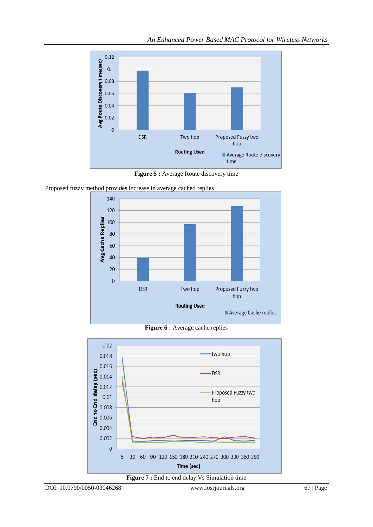

**Figure 5 :** Average Route discovery time

Proposed fuzzy method provides increase in average cached replies



**Figure 6 :** Average cache replies